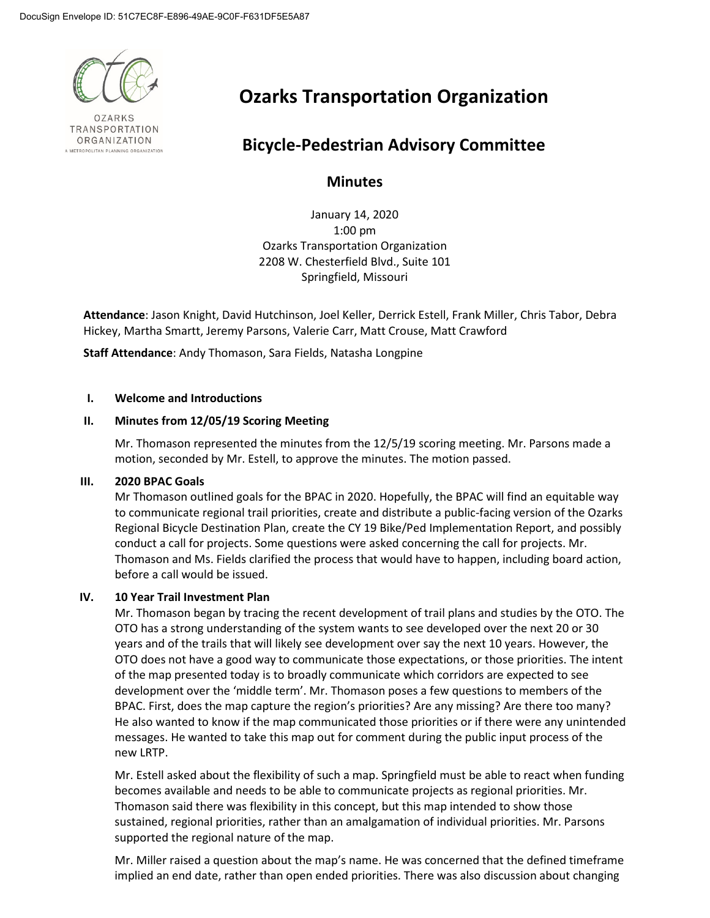

**OZARKS** TRANSPORTATION ORGANIZATION METROPOLITAN PLANNING ORGANIZATION

# **Ozarks Transportation Organization**

## **Bicycle-Pedestrian Advisory Committee**

### **Minutes**

January 14, 2020 1:00 pm Ozarks Transportation Organization 2208 W. Chesterfield Blvd., Suite 101 Springfield, Missouri

**Attendance**: Jason Knight, David Hutchinson, Joel Keller, Derrick Estell, Frank Miller, Chris Tabor, Debra Hickey, Martha Smartt, Jeremy Parsons, Valerie Carr, Matt Crouse, Matt Crawford

**Staff Attendance**: Andy Thomason, Sara Fields, Natasha Longpine

#### **I. Welcome and Introductions**

#### **II. Minutes from 12/05/19 Scoring Meeting**

Mr. Thomason represented the minutes from the 12/5/19 scoring meeting. Mr. Parsons made a motion, seconded by Mr. Estell, to approve the minutes. The motion passed.

#### **III. 2020 BPAC Goals**

Mr Thomason outlined goals for the BPAC in 2020. Hopefully, the BPAC will find an equitable way to communicate regional trail priorities, create and distribute a public-facing version of the Ozarks Regional Bicycle Destination Plan, create the CY 19 Bike/Ped Implementation Report, and possibly conduct a call for projects. Some questions were asked concerning the call for projects. Mr. Thomason and Ms. Fields clarified the process that would have to happen, including board action, before a call would be issued.

#### **IV. 10 Year Trail Investment Plan**

Mr. Thomason began by tracing the recent development of trail plans and studies by the OTO. The OTO has a strong understanding of the system wants to see developed over the next 20 or 30 years and of the trails that will likely see development over say the next 10 years. However, the OTO does not have a good way to communicate those expectations, or those priorities. The intent of the map presented today is to broadly communicate which corridors are expected to see development over the 'middle term'. Mr. Thomason poses a few questions to members of the BPAC. First, does the map capture the region's priorities? Are any missing? Are there too many? He also wanted to know if the map communicated those priorities or if there were any unintended messages. He wanted to take this map out for comment during the public input process of the new LRTP.

Mr. Estell asked about the flexibility of such a map. Springfield must be able to react when funding becomes available and needs to be able to communicate projects as regional priorities. Mr. Thomason said there was flexibility in this concept, but this map intended to show those sustained, regional priorities, rather than an amalgamation of individual priorities. Mr. Parsons supported the regional nature of the map.

Mr. Miller raised a question about the map's name. He was concerned that the defined timeframe implied an end date, rather than open ended priorities. There was also discussion about changing